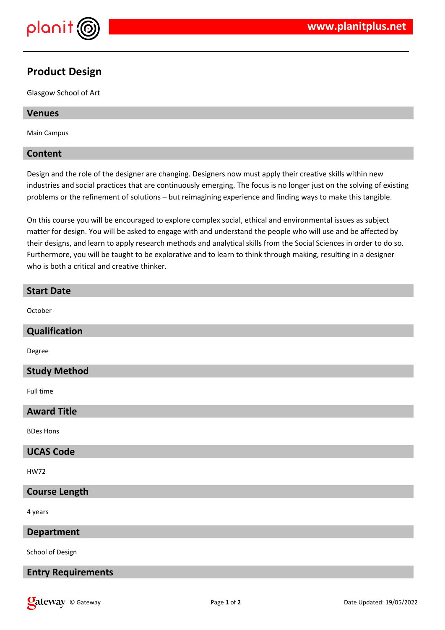

## **Product Design**

Glasgow School of Art

### **Venues**

Main Campus

### **Content**

Design and the role of the designer are changing. Designers now must apply their creative skills within new industries and social practices that are continuously emerging. The focus is no longer just on the solving of existing problems or the refinement of solutions – but reimagining experience and finding ways to make this tangible.

On this course you will be encouraged to explore complex social, ethical and environmental issues as subject matter for design. You will be asked to engage with and understand the people who will use and be affected by their designs, and learn to apply research methods and analytical skills from the Social Sciences in order to do so. Furthermore, you will be taught to be explorative and to learn to think through making, resulting in a designer who is both a critical and creative thinker.

| <b>Start Date</b>    |
|----------------------|
| October              |
| Qualification        |
| Degree               |
| <b>Study Method</b>  |
| Full time            |
| <b>Award Title</b>   |
| <b>BDes Hons</b>     |
| <b>UCAS Code</b>     |
| <b>HW72</b>          |
| <b>Course Length</b> |
| 4 years              |
| <b>Department</b>    |
| School of Design     |

### **Entry Requirements**